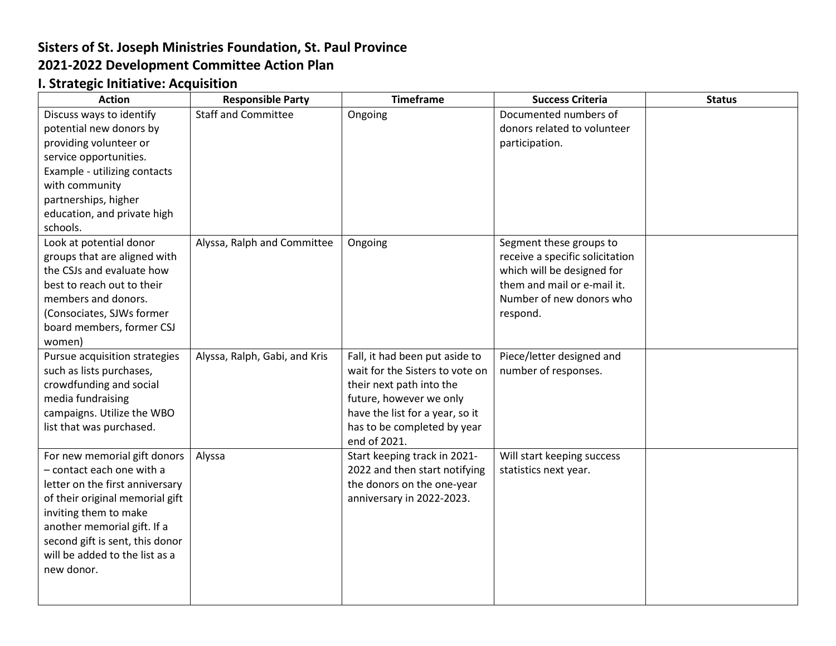## **Sisters of St. Joseph Ministries Foundation, St. Paul Province 2021-2022 Development Committee Action Plan**

## **I. Strategic Initiative: Acquisition**

| <b>Action</b>                   | <b>Responsible Party</b>      | <b>Timeframe</b>                | <b>Success Criteria</b>         | <b>Status</b> |
|---------------------------------|-------------------------------|---------------------------------|---------------------------------|---------------|
| Discuss ways to identify        | <b>Staff and Committee</b>    | Ongoing                         | Documented numbers of           |               |
| potential new donors by         |                               |                                 | donors related to volunteer     |               |
| providing volunteer or          |                               |                                 | participation.                  |               |
| service opportunities.          |                               |                                 |                                 |               |
| Example - utilizing contacts    |                               |                                 |                                 |               |
| with community                  |                               |                                 |                                 |               |
| partnerships, higher            |                               |                                 |                                 |               |
| education, and private high     |                               |                                 |                                 |               |
| schools.                        |                               |                                 |                                 |               |
| Look at potential donor         | Alyssa, Ralph and Committee   | Ongoing                         | Segment these groups to         |               |
| groups that are aligned with    |                               |                                 | receive a specific solicitation |               |
| the CSJs and evaluate how       |                               |                                 | which will be designed for      |               |
| best to reach out to their      |                               |                                 | them and mail or e-mail it.     |               |
| members and donors.             |                               |                                 | Number of new donors who        |               |
| (Consociates, SJWs former       |                               |                                 | respond.                        |               |
| board members, former CSJ       |                               |                                 |                                 |               |
| women)                          |                               |                                 |                                 |               |
| Pursue acquisition strategies   | Alyssa, Ralph, Gabi, and Kris | Fall, it had been put aside to  | Piece/letter designed and       |               |
| such as lists purchases,        |                               | wait for the Sisters to vote on | number of responses.            |               |
| crowdfunding and social         |                               | their next path into the        |                                 |               |
| media fundraising               |                               | future, however we only         |                                 |               |
| campaigns. Utilize the WBO      |                               | have the list for a year, so it |                                 |               |
| list that was purchased.        |                               | has to be completed by year     |                                 |               |
|                                 |                               | end of 2021.                    |                                 |               |
| For new memorial gift donors    | Alyssa                        | Start keeping track in 2021-    | Will start keeping success      |               |
| - contact each one with a       |                               | 2022 and then start notifying   | statistics next year.           |               |
| letter on the first anniversary |                               | the donors on the one-year      |                                 |               |
| of their original memorial gift |                               | anniversary in 2022-2023.       |                                 |               |
| inviting them to make           |                               |                                 |                                 |               |
| another memorial gift. If a     |                               |                                 |                                 |               |
| second gift is sent, this donor |                               |                                 |                                 |               |
| will be added to the list as a  |                               |                                 |                                 |               |
| new donor.                      |                               |                                 |                                 |               |
|                                 |                               |                                 |                                 |               |
|                                 |                               |                                 |                                 |               |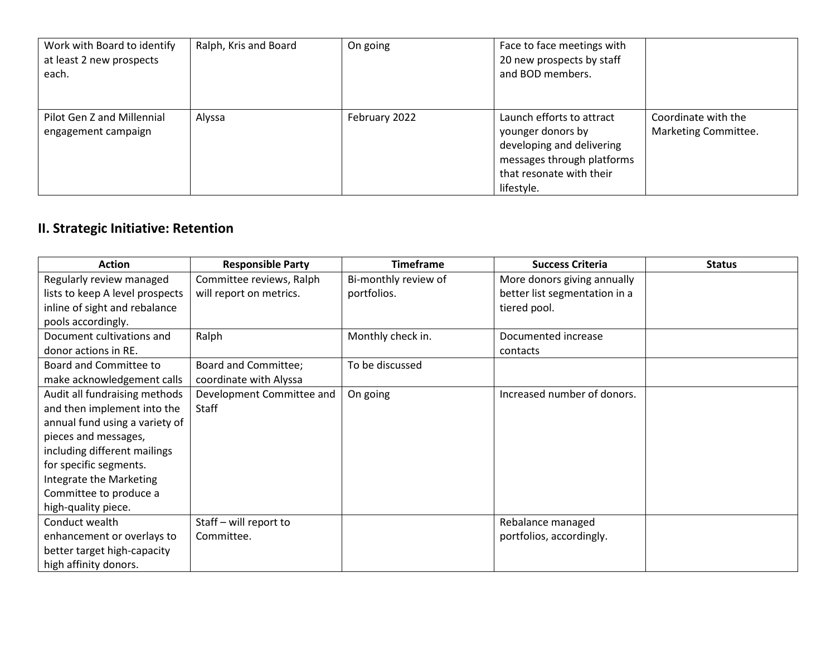| Work with Board to identify<br>at least 2 new prospects<br>each. | Ralph, Kris and Board | On going      | Face to face meetings with<br>20 new prospects by staff<br>and BOD members.                                                                         |                                             |
|------------------------------------------------------------------|-----------------------|---------------|-----------------------------------------------------------------------------------------------------------------------------------------------------|---------------------------------------------|
| Pilot Gen Z and Millennial<br>engagement campaign                | Alyssa                | February 2022 | Launch efforts to attract<br>younger donors by<br>developing and delivering<br>messages through platforms<br>that resonate with their<br>lifestyle. | Coordinate with the<br>Marketing Committee. |

## **II. Strategic Initiative: Retention**

| <b>Action</b>                   | <b>Responsible Party</b>  | <b>Timeframe</b>     | <b>Success Criteria</b>       | <b>Status</b> |
|---------------------------------|---------------------------|----------------------|-------------------------------|---------------|
| Regularly review managed        | Committee reviews, Ralph  | Bi-monthly review of | More donors giving annually   |               |
| lists to keep A level prospects | will report on metrics.   | portfolios.          | better list segmentation in a |               |
| inline of sight and rebalance   |                           |                      | tiered pool.                  |               |
| pools accordingly.              |                           |                      |                               |               |
| Document cultivations and       | Ralph                     | Monthly check in.    | Documented increase           |               |
| donor actions in RE.            |                           |                      | contacts                      |               |
| Board and Committee to          | Board and Committee;      | To be discussed      |                               |               |
| make acknowledgement calls      | coordinate with Alyssa    |                      |                               |               |
| Audit all fundraising methods   | Development Committee and | On going             | Increased number of donors.   |               |
| and then implement into the     | Staff                     |                      |                               |               |
| annual fund using a variety of  |                           |                      |                               |               |
| pieces and messages,            |                           |                      |                               |               |
| including different mailings    |                           |                      |                               |               |
| for specific segments.          |                           |                      |                               |               |
| Integrate the Marketing         |                           |                      |                               |               |
| Committee to produce a          |                           |                      |                               |               |
| high-quality piece.             |                           |                      |                               |               |
| Conduct wealth                  | Staff - will report to    |                      | Rebalance managed             |               |
| enhancement or overlays to      | Committee.                |                      | portfolios, accordingly.      |               |
| better target high-capacity     |                           |                      |                               |               |
| high affinity donors.           |                           |                      |                               |               |